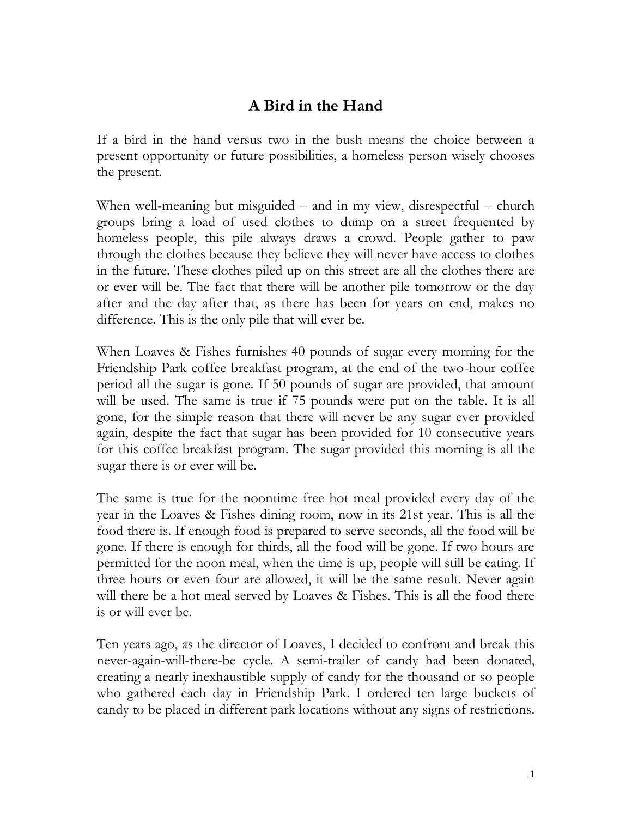## **A Bird in the Hand**

If a bird in the hand versus two in the bush means the choice between a present opportunity or future possibilities, a homeless person wisely chooses the present.

When well-meaning but misguided – and in my view, disrespectful – church groups bring a load of used clothes to dump on a street frequented by homeless people, this pile always draws a crowd. People gather to paw through the clothes because they believe they will never have access to clothes in the future. These clothes piled up on this street are all the clothes there are or ever will be. The fact that there will be another pile tomorrow or the day after and the day after that, as there has been for years on end, makes no difference. This is the only pile that will ever be.

When Loaves & Fishes furnishes 40 pounds of sugar every morning for the Friendship Park coffee breakfast program, at the end of the two-hour coffee period all the sugar is gone. If 50 pounds of sugar are provided, that amount will be used. The same is true if 75 pounds were put on the table. It is all gone, for the simple reason that there will never be any sugar ever provided again, despite the fact that sugar has been provided for 10 consecutive years for this coffee breakfast program. The sugar provided this morning is all the sugar there is or ever will be.

The same is true for the noontime free hot meal provided every day of the year in the Loaves & Fishes dining room, now in its 21st year. This is all the food there is. If enough food is prepared to serve seconds, all the food will be gone. If there is enough for thirds, all the food will be gone. If two hours are permitted for the noon meal, when the time is up, people will still be eating. If three hours or even four are allowed, it will be the same result. Never again will there be a hot meal served by Loaves & Fishes. This is all the food there is or will ever be.

Ten years ago, as the director of Loaves, I decided to confront and break this never-again-will-there-be cycle. A semi-trailer of candy had been donated, creating a nearly inexhaustible supply of candy for the thousand or so people who gathered each day in Friendship Park. I ordered ten large buckets of candy to be placed in different park locations without any signs of restrictions.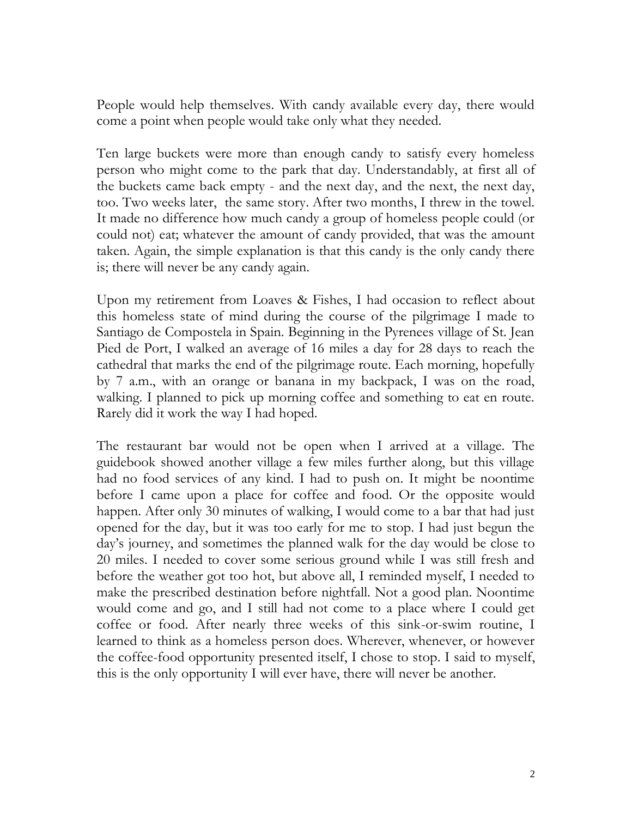People would help themselves. With candy available every day, there would come a point when people would take only what they needed.

Ten large buckets were more than enough candy to satisfy every homeless person who might come to the park that day. Understandably, at first all of the buckets came back empty - and the next day, and the next, the next day, too. Two weeks later, the same story. After two months, I threw in the towel. It made no difference how much candy a group of homeless people could (or could not) eat; whatever the amount of candy provided, that was the amount taken. Again, the simple explanation is that this candy is the only candy there is; there will never be any candy again.

Upon my retirement from Loaves & Fishes, I had occasion to reflect about this homeless state of mind during the course of the pilgrimage I made to Santiago de Compostela in Spain. Beginning in the Pyrenees village of St. Jean Pied de Port, I walked an average of 16 miles a day for 28 days to reach the cathedral that marks the end of the pilgrimage route. Each morning, hopefully by 7 a.m., with an orange or banana in my backpack, I was on the road, walking. I planned to pick up morning coffee and something to eat en route. Rarely did it work the way I had hoped.

The restaurant bar would not be open when I arrived at a village. The guidebook showed another village a few miles further along, but this village had no food services of any kind. I had to push on. It might be noontime before I came upon a place for coffee and food. Or the opposite would happen. After only 30 minutes of walking, I would come to a bar that had just opened for the day, but it was too early for me to stop. I had just begun the day's journey, and sometimes the planned walk for the day would be close to 20 miles. I needed to cover some serious ground while I was still fresh and before the weather got too hot, but above all, I reminded myself, I needed to make the prescribed destination before nightfall. Not a good plan. Noontime would come and go, and I still had not come to a place where I could get coffee or food. After nearly three weeks of this sink-or-swim routine, I learned to think as a homeless person does. Wherever, whenever, or however the coffee-food opportunity presented itself, I chose to stop. I said to myself, this is the only opportunity I will ever have, there will never be another.